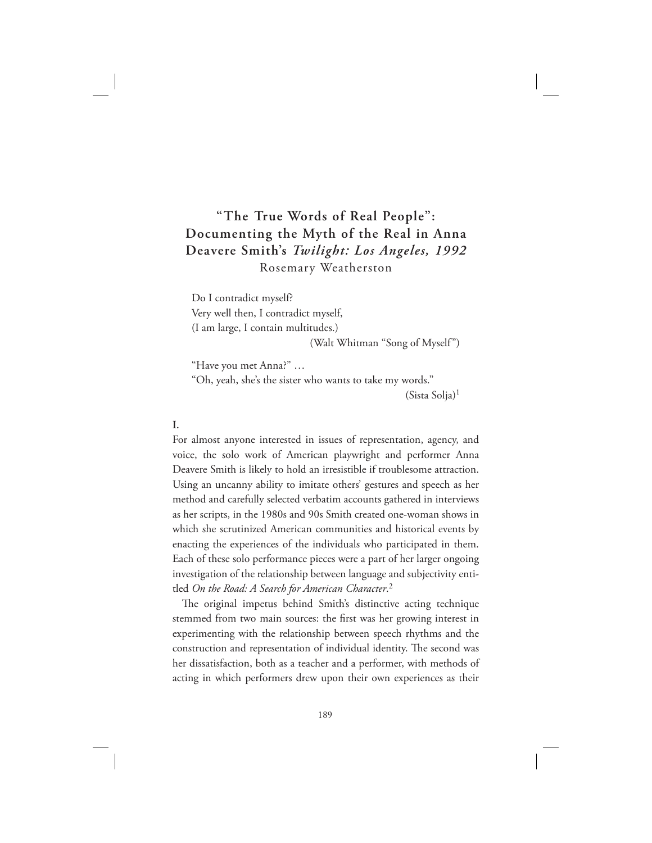# **"The True Words of Real People": Documenting the Myth of the Real in Anna Deavere Smith's** *Twilight: Los Angeles, 1992* Rosemary Weatherston

Do I contradict myself? Very well then, I contradict myself, (I am large, I contain multitudes.)

(Walt Whitman "Song of Myself")

"Have you met Anna?" …

"Oh, yeah, she's the sister who wants to take my words." (Sista Solja)<sup>1</sup>

# **I.**

For almost anyone interested in issues of representation, agency, and voice, the solo work of American playwright and performer Anna Deavere Smith is likely to hold an irresistible if troublesome attraction. Using an uncanny ability to imitate others' gestures and speech as her method and carefully selected verbatim accounts gathered in interviews as her scripts, in the 1980s and 90s Smith created one-woman shows in which she scrutinized American communities and historical events by enacting the experiences of the individuals who participated in them. Each of these solo performance pieces were a part of her larger ongoing investigation of the relationship between language and subjectivity entitled *On the Road: A Search for American Character*. 2

The original impetus behind Smith's distinctive acting technique stemmed from two main sources: the first was her growing interest in experimenting with the relationship between speech rhythms and the construction and representation of individual identity. The second was her dissatisfaction, both as a teacher and a performer, with methods of acting in which performers drew upon their own experiences as their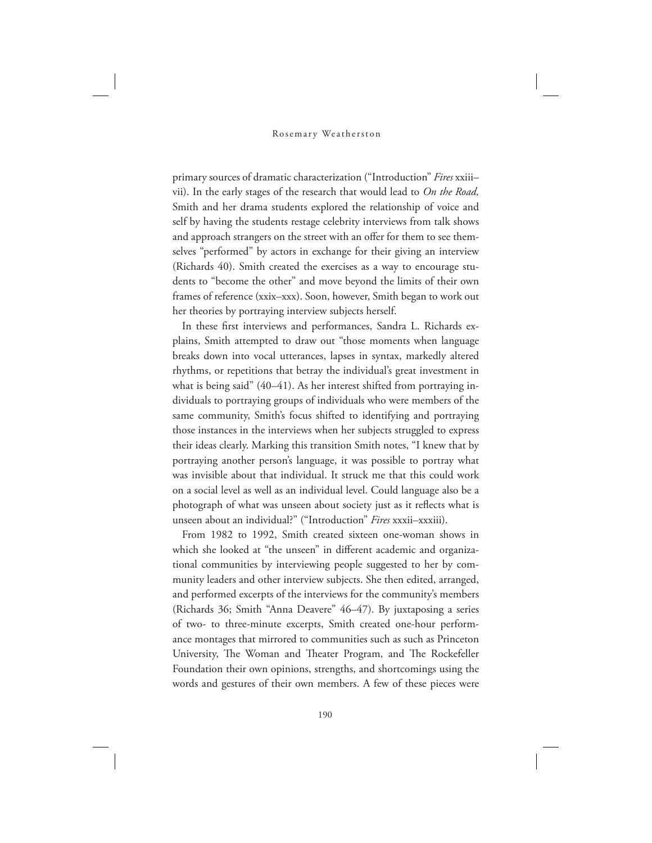primary sources of dramatic characterization ("Introduction" *Fires* xxiii– vii). In the early stages of the research that would lead to *On the Road,* Smith and her drama students explored the relationship of voice and self by having the students restage celebrity interviews from talk shows and approach strangers on the street with an offer for them to see themselves "performed" by actors in exchange for their giving an interview (Richards 40). Smith created the exercises as a way to encourage students to "become the other" and move beyond the limits of their own frames of reference (xxix–xxx). Soon, however, Smith began to work out her theories by portraying interview subjects herself.

In these first interviews and performances, Sandra L. Richards explains, Smith attempted to draw out "those moments when language breaks down into vocal utterances, lapses in syntax, markedly altered rhythms, or repetitions that betray the individual's great investment in what is being said" (40–41). As her interest shifted from portraying individuals to portraying groups of individuals who were members of the same community, Smith's focus shifted to identifying and portraying those instances in the interviews when her subjects struggled to express their ideas clearly. Marking this transition Smith notes, "I knew that by portraying another person's language, it was possible to portray what was invisible about that individual. It struck me that this could work on a social level as well as an individual level. Could language also be a photograph of what was unseen about society just as it reflects what is unseen about an individual?" ("Introduction" *Fires* xxxii–xxxiii).

From 1982 to 1992, Smith created sixteen one-woman shows in which she looked at "the unseen" in different academic and organizational communities by interviewing people suggested to her by community leaders and other interview subjects. She then edited, arranged, and performed excerpts of the interviews for the community's members (Richards 36; Smith "Anna Deavere" 46–47). By juxtaposing a series of two- to three-minute excerpts, Smith created one-hour performance montages that mirrored to communities such as such as Princeton University, The Woman and Theater Program, and The Rockefeller Foundation their own opinions, strengths, and shortcomings using the words and gestures of their own members. A few of these pieces were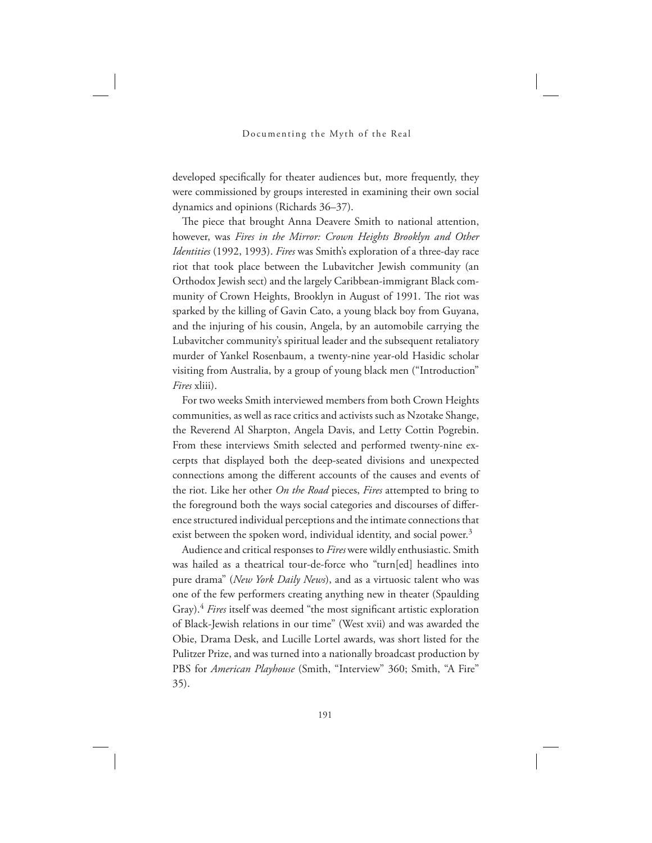developed specifically for theater audiences but, more frequently, they were commissioned by groups interested in examining their own social dynamics and opinions (Richards 36–37).

The piece that brought Anna Deavere Smith to national attention, however, was *Fires in the Mirror: Crown Heights Brooklyn and Other Identities* (1992, 1993). *Fires* was Smith's exploration of a three-day race riot that took place between the Lubavitcher Jewish community (an Orthodox Jewish sect) and the largely Caribbean-immigrant Black community of Crown Heights, Brooklyn in August of 1991. The riot was sparked by the killing of Gavin Cato, a young black boy from Guyana, and the injuring of his cousin, Angela, by an automobile carrying the Lubavitcher community's spiritual leader and the subsequent retaliatory murder of Yankel Rosenbaum, a twenty-nine year-old Hasidic scholar visiting from Australia, by a group of young black men ("Introduction" *Fires* xliii).

For two weeks Smith interviewed members from both Crown Heights communities, as well as race critics and activists such as Nzotake Shange, the Reverend Al Sharpton, Angela Davis, and Letty Cottin Pogrebin. From these interviews Smith selected and performed twenty-nine excerpts that displayed both the deep-seated divisions and unexpected connections among the different accounts of the causes and events of the riot. Like her other *On the Road* pieces, *Fires* attempted to bring to the foreground both the ways social categories and discourses of difference structured individual perceptions and the intimate connections that exist between the spoken word, individual identity, and social power.<sup>3</sup>

Audience and critical responses to *Fires* were wildly enthusiastic. Smith was hailed as a theatrical tour-de-force who "turn[ed] headlines into pure drama" (*New York Daily News*), and as a virtuosic talent who was one of the few performers creating anything new in theater (Spaulding Gray).<sup>4</sup> *Fires* itself was deemed "the most significant artistic exploration of Black-Jewish relations in our time" (West xvii) and was awarded the Obie, Drama Desk, and Lucille Lortel awards, was short listed for the Pulitzer Prize, and was turned into a nationally broadcast production by PBS for *American Playhouse* (Smith, "Interview" 360; Smith, "A Fire" 35).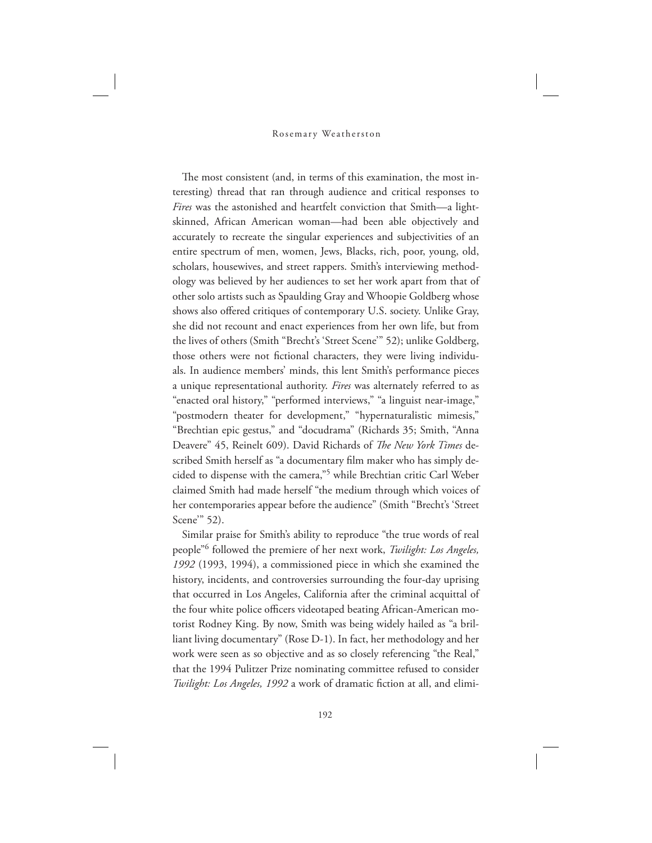The most consistent (and, in terms of this examination, the most interesting) thread that ran through audience and critical responses to *Fires* was the astonished and heartfelt conviction that Smith—a lightskinned, African American woman—had been able objectively and accurately to recreate the singular experiences and subjectivities of an entire spectrum of men, women, Jews, Blacks, rich, poor, young, old, scholars, housewives, and street rappers. Smith's interviewing methodology was believed by her audiences to set her work apart from that of other solo artists such as Spaulding Gray and Whoopie Goldberg whose shows also offered critiques of contemporary U.S. society. Unlike Gray, she did not recount and enact experiences from her own life, but from the lives of others (Smith "Brecht's 'Street Scene'" 52); unlike Goldberg, those others were not fictional characters, they were living individuals. In audience members' minds, this lent Smith's performance pieces a unique representational authority. *Fires* was alternately referred to as "enacted oral history," "performed interviews," "a linguist near-image," "postmodern theater for development," "hypernaturalistic mimesis," "Brechtian epic gestus," and "docudrama" (Richards 35; Smith, "Anna Deavere" 45, Reinelt 609). David Richards of *The New York Times* described Smith herself as "a documentary film maker who has simply decided to dispense with the camera,"<sup>5</sup> while Brechtian critic Carl Weber claimed Smith had made herself "the medium through which voices of her contemporaries appear before the audience" (Smith "Brecht's 'Street Scene'" 52).

Similar praise for Smith's ability to reproduce "the true words of real people"<sup>6</sup> followed the premiere of her next work, *Twilight: Los Angeles, 1992* (1993, 1994), a commissioned piece in which she examined the history, incidents, and controversies surrounding the four-day uprising that occurred in Los Angeles, California after the criminal acquittal of the four white police officers videotaped beating African-American motorist Rodney King. By now, Smith was being widely hailed as "a brilliant living documentary" (Rose D-1). In fact, her methodology and her work were seen as so objective and as so closely referencing "the Real," that the 1994 Pulitzer Prize nominating committee refused to consider *Twilight: Los Angeles, 1992* a work of dramatic fiction at all, and elimi-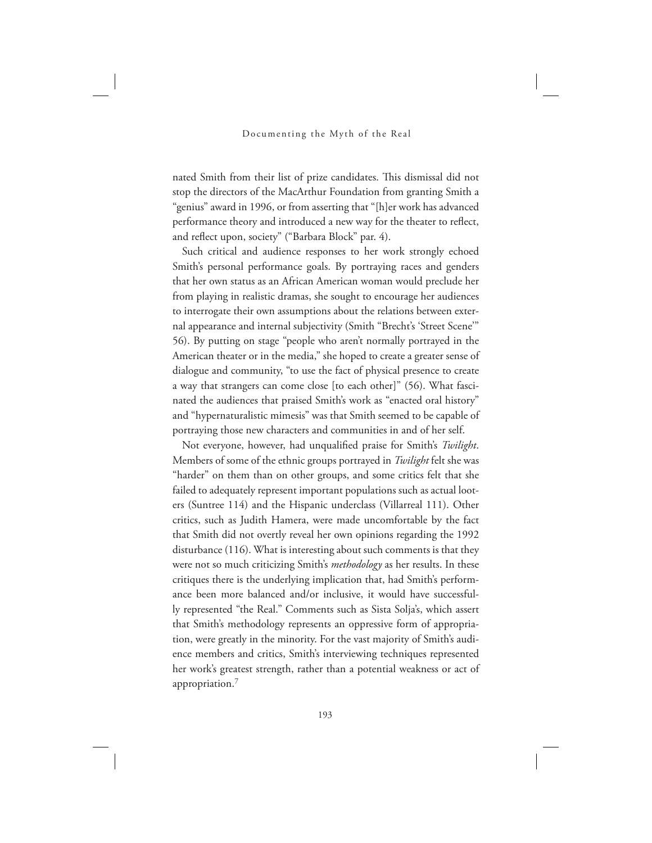nated Smith from their list of prize candidates. This dismissal did not stop the directors of the MacArthur Foundation from granting Smith a "genius" award in 1996, or from asserting that "[h]er work has advanced performance theory and introduced a new way for the theater to reflect, and reflect upon, society" ("Barbara Block" par. 4).

Such critical and audience responses to her work strongly echoed Smith's personal performance goals. By portraying races and genders that her own status as an African American woman would preclude her from playing in realistic dramas, she sought to encourage her audiences to interrogate their own assumptions about the relations between external appearance and internal subjectivity (Smith "Brecht's 'Street Scene'" 56). By putting on stage "people who aren't normally portrayed in the American theater or in the media," she hoped to create a greater sense of dialogue and community, "to use the fact of physical presence to create a way that strangers can come close [to each other]" (56). What fascinated the audiences that praised Smith's work as "enacted oral history" and "hypernaturalistic mimesis" was that Smith seemed to be capable of portraying those new characters and communities in and of her self.

Not everyone, however, had unqualified praise for Smith's *Twilight*. Members of some of the ethnic groups portrayed in *Twilight* felt she was "harder" on them than on other groups, and some critics felt that she failed to adequately represent important populations such as actual looters (Suntree 114) and the Hispanic underclass (Villarreal 111). Other critics, such as Judith Hamera, were made uncomfortable by the fact that Smith did not overtly reveal her own opinions regarding the 1992 disturbance (116). What is interesting about such comments is that they were not so much criticizing Smith's *methodology* as her results. In these critiques there is the underlying implication that, had Smith's performance been more balanced and/or inclusive, it would have successfully represented "the Real." Comments such as Sista Solja's, which assert that Smith's methodology represents an oppressive form of appropriation, were greatly in the minority. For the vast majority of Smith's audience members and critics, Smith's interviewing techniques represented her work's greatest strength, rather than a potential weakness or act of appropriation.<sup>7</sup>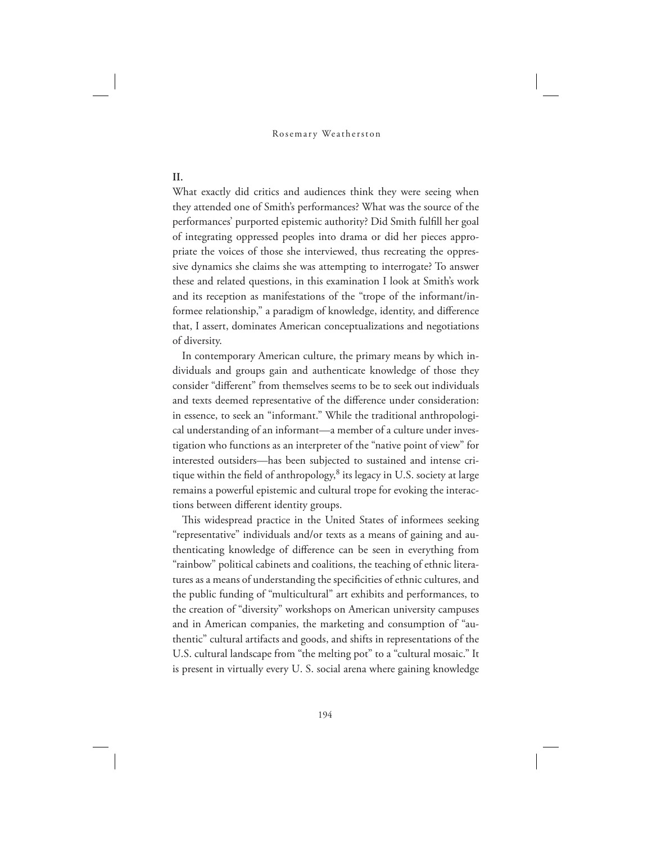# **II.**

What exactly did critics and audiences think they were seeing when they attended one of Smith's performances? What was the source of the performances' purported epistemic authority? Did Smith fulfill her goal of integrating oppressed peoples into drama or did her pieces appropriate the voices of those she interviewed, thus recreating the oppressive dynamics she claims she was attempting to interrogate? To answer these and related questions, in this examination I look at Smith's work and its reception as manifestations of the "trope of the informant/informee relationship," a paradigm of knowledge, identity, and difference that, I assert, dominates American conceptualizations and negotiations of diversity.

In contemporary American culture, the primary means by which individuals and groups gain and authenticate knowledge of those they consider "different" from themselves seems to be to seek out individuals and texts deemed representative of the difference under consideration: in essence, to seek an "informant." While the traditional anthropological understanding of an informant—a member of a culture under investigation who functions as an interpreter of the "native point of view" for interested outsiders—has been subjected to sustained and intense critique within the field of anthropology,<sup>8</sup> its legacy in U.S. society at large remains a powerful epistemic and cultural trope for evoking the interactions between different identity groups.

This widespread practice in the United States of informees seeking "representative" individuals and/or texts as a means of gaining and authenticating knowledge of difference can be seen in everything from "rainbow" political cabinets and coalitions, the teaching of ethnic literatures as a means of understanding the specificities of ethnic cultures, and the public funding of "multicultural" art exhibits and performances, to the creation of "diversity" workshops on American university campuses and in American companies, the marketing and consumption of "authentic" cultural artifacts and goods, and shifts in representations of the U.S. cultural landscape from "the melting pot" to a "cultural mosaic." It is present in virtually every U. S. social arena where gaining knowledge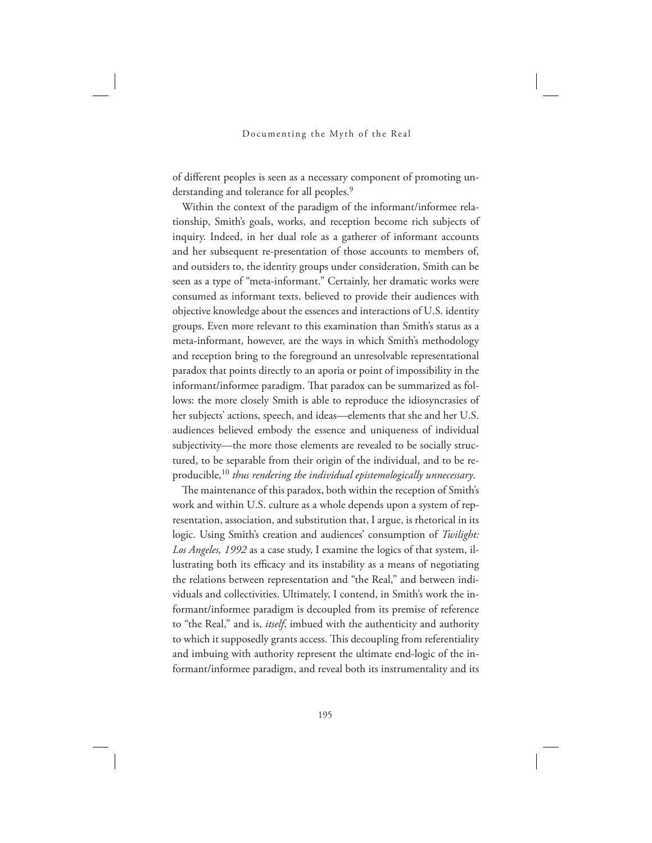of different peoples is seen as a necessary component of promoting understanding and tolerance for all peoples.<sup>9</sup>

Within the context of the paradigm of the informant/informee relationship, Smith's goals, works, and reception become rich subjects of inquiry. Indeed, in her dual role as a gatherer of informant accounts and her subsequent re-presentation of those accounts to members of, and outsiders to, the identity groups under consideration, Smith can be seen as a type of "meta-informant." Certainly, her dramatic works were consumed as informant texts, believed to provide their audiences with objective knowledge about the essences and interactions of U.S. identity groups. Even more relevant to this examination than Smith's status as a meta-informant, however, are the ways in which Smith's methodology and reception bring to the foreground an unresolvable representational paradox that points directly to an aporia or point of impossibility in the informant/informee paradigm. That paradox can be summarized as follows: the more closely Smith is able to reproduce the idiosyncrasies of her subjects' actions, speech, and ideas—elements that she and her U.S. audiences believed embody the essence and uniqueness of individual subjectivity—the more those elements are revealed to be socially structured, to be separable from their origin of the individual, and to be reproducible,<sup>10</sup> *thus rendering the individual epistemologically unnecessary*.

The maintenance of this paradox, both within the reception of Smith's work and within U.S. culture as a whole depends upon a system of representation, association, and substitution that, I argue, is rhetorical in its logic. Using Smith's creation and audiences' consumption of *Twilight*: *Los Angeles, 1992* as a case study, I examine the logics of that system, illustrating both its efficacy and its instability as a means of negotiating the relations between representation and "the Real," and between individuals and collectivities. Ultimately, I contend, in Smith's work the informant/informee paradigm is decoupled from its premise of reference to "the Real," and is, *itself*, imbued with the authenticity and authority to which it supposedly grants access. This decoupling from referentiality and imbuing with authority represent the ultimate end-logic of the informant/informee paradigm, and reveal both its instrumentality and its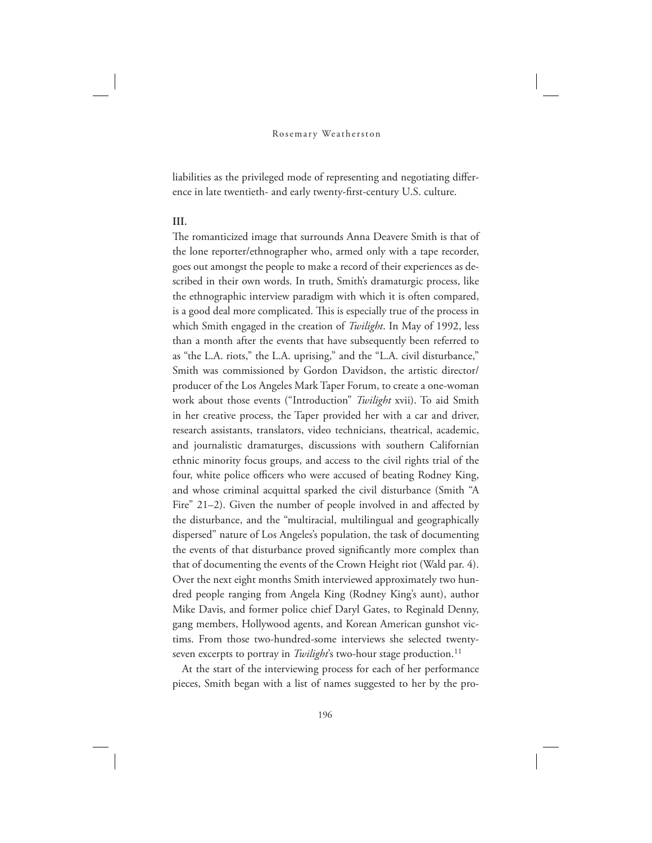liabilities as the privileged mode of representing and negotiating difference in late twentieth- and early twenty-first-century U.S. culture.

# **III.**

The romanticized image that surrounds Anna Deavere Smith is that of the lone reporter/ethnographer who, armed only with a tape recorder, goes out amongst the people to make a record of their experiences as described in their own words. In truth, Smith's dramaturgic process, like the ethnographic interview paradigm with which it is often compared, is a good deal more complicated. This is especially true of the process in which Smith engaged in the creation of *Twilight*. In May of 1992, less than a month after the events that have subsequently been referred to as "the L.A. riots," the L.A. uprising," and the "L.A. civil disturbance," Smith was commissioned by Gordon Davidson, the artistic director/ producer of the Los Angeles Mark Taper Forum, to create a one-woman work about those events ("Introduction" *Twilight* xvii). To aid Smith in her creative process, the Taper provided her with a car and driver, research assistants, translators, video technicians, theatrical, academic, and journalistic dramaturges, discussions with southern Californian ethnic minority focus groups, and access to the civil rights trial of the four, white police officers who were accused of beating Rodney King, and whose criminal acquittal sparked the civil disturbance (Smith "A Fire" 21–2). Given the number of people involved in and affected by the disturbance, and the "multiracial, multilingual and geographically dispersed" nature of Los Angeles's population, the task of documenting the events of that disturbance proved significantly more complex than that of documenting the events of the Crown Height riot (Wald par. 4). Over the next eight months Smith interviewed approximately two hundred people ranging from Angela King (Rodney King's aunt), author Mike Davis, and former police chief Daryl Gates, to Reginald Denny, gang members, Hollywood agents, and Korean American gunshot victims. From those two-hundred-some interviews she selected twentyseven excerpts to portray in *Twilight's* two-hour stage production.<sup>11</sup>

At the start of the interviewing process for each of her performance pieces, Smith began with a list of names suggested to her by the pro-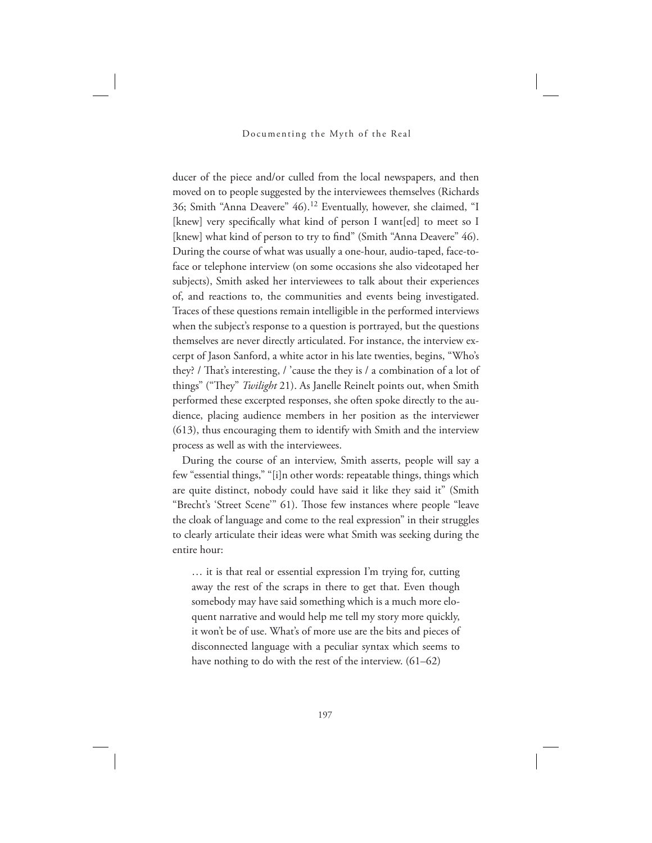ducer of the piece and/or culled from the local newspapers, and then moved on to people suggested by the interviewees themselves (Richards 36; Smith "Anna Deavere" 46).<sup>12</sup> Eventually, however, she claimed, "I [knew] very specifically what kind of person I want[ed] to meet so I [knew] what kind of person to try to find" (Smith "Anna Deavere" 46). During the course of what was usually a one-hour, audio-taped, face-toface or telephone interview (on some occasions she also videotaped her subjects), Smith asked her interviewees to talk about their experiences of, and reactions to, the communities and events being investigated. Traces of these questions remain intelligible in the performed interviews when the subject's response to a question is portrayed, but the questions themselves are never directly articulated. For instance, the interview excerpt of Jason Sanford, a white actor in his late twenties, begins, "Who's they? / That's interesting, / 'cause the they is / a combination of a lot of things" ("They" *Twilight* 21). As Janelle Reinelt points out, when Smith performed these excerpted responses, she often spoke directly to the audience, placing audience members in her position as the interviewer (613), thus encouraging them to identify with Smith and the interview process as well as with the interviewees.

During the course of an interview, Smith asserts, people will say a few "essential things," "[i]n other words: repeatable things, things which are quite distinct, nobody could have said it like they said it" (Smith "Brecht's 'Street Scene'" 61). Those few instances where people "leave the cloak of language and come to the real expression" in their struggles to clearly articulate their ideas were what Smith was seeking during the entire hour:

… it is that real or essential expression I'm trying for, cutting away the rest of the scraps in there to get that. Even though somebody may have said something which is a much more eloquent narrative and would help me tell my story more quickly, it won't be of use. What's of more use are the bits and pieces of disconnected language with a peculiar syntax which seems to have nothing to do with the rest of the interview. (61–62)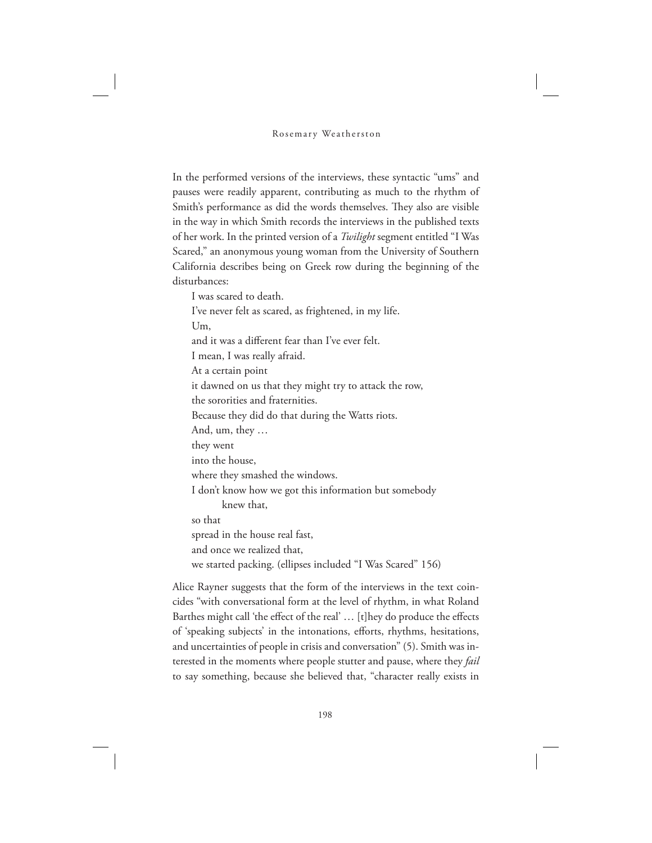In the performed versions of the interviews, these syntactic "ums" and pauses were readily apparent, contributing as much to the rhythm of Smith's performance as did the words themselves. They also are visible in the way in which Smith records the interviews in the published texts of her work. In the printed version of a *Twilight* segment entitled "I Was Scared," an anonymous young woman from the University of Southern California describes being on Greek row during the beginning of the disturbances:

I was scared to death. I've never felt as scared, as frightened, in my life. Um, and it was a different fear than I've ever felt. I mean, I was really afraid. At a certain point it dawned on us that they might try to attack the row, the sororities and fraternities. Because they did do that during the Watts riots. And, um, they … they went into the house, where they smashed the windows. I don't know how we got this information but somebody knew that, so that spread in the house real fast, and once we realized that, we started packing. (ellipses included "I Was Scared" 156)

Alice Rayner suggests that the form of the interviews in the text coincides "with conversational form at the level of rhythm, in what Roland Barthes might call 'the effect of the real' … [t]hey do produce the effects of 'speaking subjects' in the intonations, efforts, rhythms, hesitations, and uncertainties of people in crisis and conversation" (5). Smith was interested in the moments where people stutter and pause, where they *fail* to say something, because she believed that, "character really exists in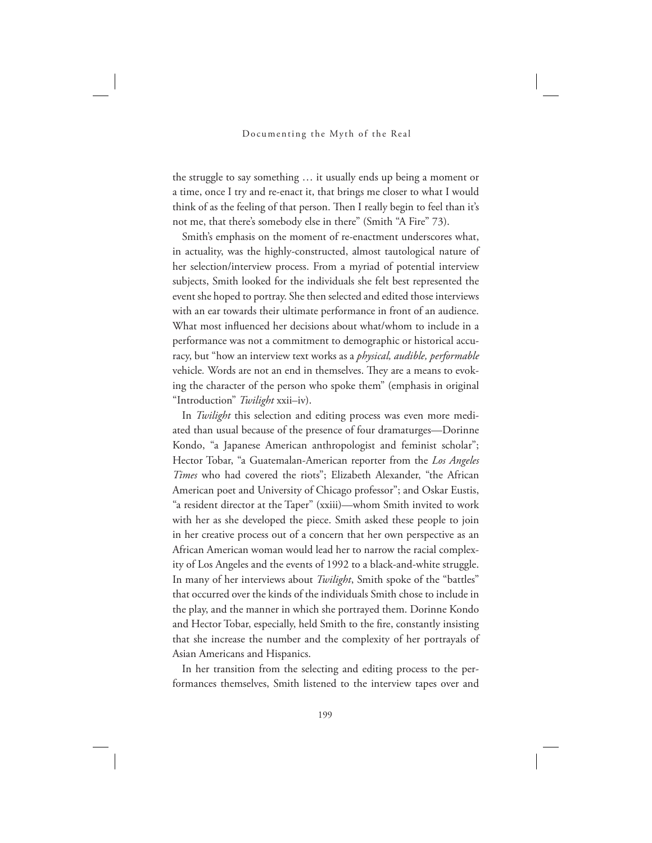the struggle to say something … it usually ends up being a moment or a time, once I try and re-enact it, that brings me closer to what I would think of as the feeling of that person. Then I really begin to feel than it's not me, that there's somebody else in there" (Smith "A Fire" 73).

Smith's emphasis on the moment of re-enactment underscores what, in actuality, was the highly-constructed, almost tautological nature of her selection/interview process. From a myriad of potential interview subjects, Smith looked for the individuals she felt best represented the event she hoped to portray. She then selected and edited those interviews with an ear towards their ultimate performance in front of an audience. What most influenced her decisions about what/whom to include in a performance was not a commitment to demographic or historical accuracy, but "how an interview text works as a *physical, audible, performable*  vehicle. Words are not an end in themselves. They are a means to evoking the character of the person who spoke them" (emphasis in original "Introduction" *Twilight* xxii–iv).

In *Twilight* this selection and editing process was even more mediated than usual because of the presence of four dramaturges—Dorinne Kondo, "a Japanese American anthropologist and feminist scholar"; Hector Tobar, "a Guatemalan-American reporter from the *Los Angeles Times* who had covered the riots"; Elizabeth Alexander, "the African American poet and University of Chicago professor"; and Oskar Eustis, "a resident director at the Taper" (xxiii)—whom Smith invited to work with her as she developed the piece. Smith asked these people to join in her creative process out of a concern that her own perspective as an African American woman would lead her to narrow the racial complexity of Los Angeles and the events of 1992 to a black-and-white struggle. In many of her interviews about *Twilight*, Smith spoke of the "battles" that occurred over the kinds of the individuals Smith chose to include in the play, and the manner in which she portrayed them. Dorinne Kondo and Hector Tobar, especially, held Smith to the fire, constantly insisting that she increase the number and the complexity of her portrayals of Asian Americans and Hispanics.

In her transition from the selecting and editing process to the performances themselves, Smith listened to the interview tapes over and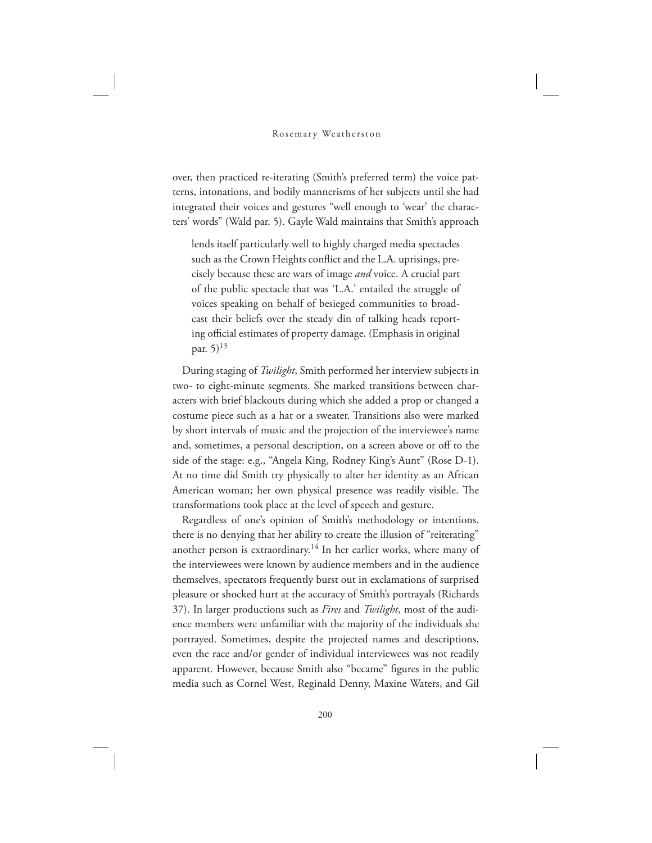over, then practiced re-iterating (Smith's preferred term) the voice patterns, intonations, and bodily mannerisms of her subjects until she had integrated their voices and gestures "well enough to 'wear' the characters' words" (Wald par. 5). Gayle Wald maintains that Smith's approach

lends itself particularly well to highly charged media spectacles such as the Crown Heights conflict and the L.A. uprisings, precisely because these are wars of image *and* voice. A crucial part of the public spectacle that was 'L.A.' entailed the struggle of voices speaking on behalf of besieged communities to broadcast their beliefs over the steady din of talking heads reporting official estimates of property damage. (Emphasis in original par.  $5)^{13}$ 

During staging of *Twilight*, Smith performed her interview subjects in two- to eight-minute segments. She marked transitions between characters with brief blackouts during which she added a prop or changed a costume piece such as a hat or a sweater. Transitions also were marked by short intervals of music and the projection of the interviewee's name and, sometimes, a personal description, on a screen above or off to the side of the stage: e.g., "Angela King, Rodney King's Aunt" (Rose D-1). At no time did Smith try physically to alter her identity as an African American woman; her own physical presence was readily visible. The transformations took place at the level of speech and gesture.

Regardless of one's opinion of Smith's methodology or intentions, there is no denying that her ability to create the illusion of "reiterating" another person is extraordinary.<sup>14</sup> In her earlier works, where many of the interviewees were known by audience members and in the audience themselves, spectators frequently burst out in exclamations of surprised pleasure or shocked hurt at the accuracy of Smith's portrayals (Richards 37). In larger productions such as *Fires* and *Twilight*, most of the audience members were unfamiliar with the majority of the individuals she portrayed. Sometimes, despite the projected names and descriptions, even the race and/or gender of individual interviewees was not readily apparent. However, because Smith also "became" figures in the public media such as Cornel West, Reginald Denny, Maxine Waters, and Gil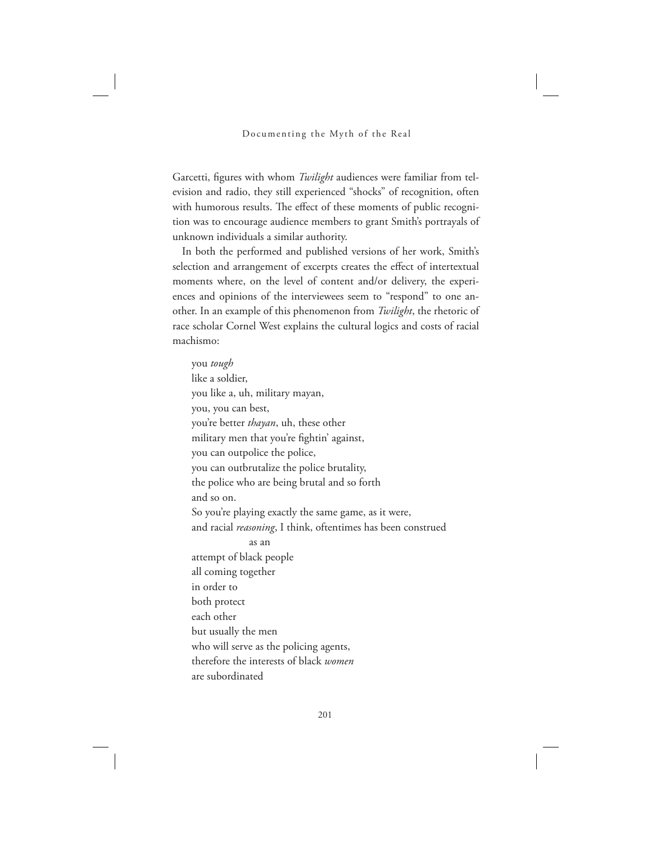Garcetti, figures with whom *Twilight* audiences were familiar from television and radio, they still experienced "shocks" of recognition, often with humorous results. The effect of these moments of public recognition was to encourage audience members to grant Smith's portrayals of unknown individuals a similar authority.

In both the performed and published versions of her work, Smith's selection and arrangement of excerpts creates the effect of intertextual moments where, on the level of content and/or delivery, the experiences and opinions of the interviewees seem to "respond" to one another. In an example of this phenomenon from *Twilight*, the rhetoric of race scholar Cornel West explains the cultural logics and costs of racial machismo:

you *tough* like a soldier, you like a, uh, military mayan, you, you can best, you're better *thayan*, uh, these other military men that you're fightin' against, you can outpolice the police, you can outbrutalize the police brutality, the police who are being brutal and so forth and so on. So you're playing exactly the same game, as it were, and racial *reasoning*, I think, oftentimes has been construed as an attempt of black people all coming together in order to both protect each other but usually the men who will serve as the policing agents, therefore the interests of black *women* are subordinated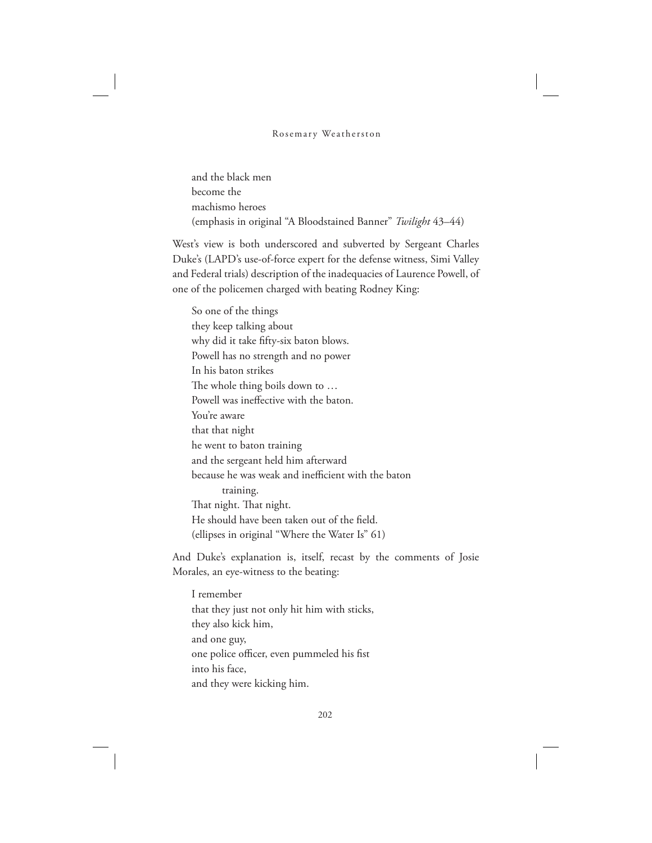and the black men become the machismo heroes (emphasis in original "A Bloodstained Banner" *Twilight* 43–44)

West's view is both underscored and subverted by Sergeant Charles Duke's (LAPD's use-of-force expert for the defense witness, Simi Valley and Federal trials) description of the inadequacies of Laurence Powell, of one of the policemen charged with beating Rodney King:

So one of the things they keep talking about why did it take fifty-six baton blows. Powell has no strength and no power In his baton strikes The whole thing boils down to ... Powell was ineffective with the baton. You're aware that that night he went to baton training and the sergeant held him afterward because he was weak and inefficient with the baton training. That night. That night. He should have been taken out of the field. (ellipses in original "Where the Water Is" 61)

And Duke's explanation is, itself, recast by the comments of Josie Morales, an eye-witness to the beating:

I remember that they just not only hit him with sticks, they also kick him, and one guy, one police officer, even pummeled his fist into his face, and they were kicking him.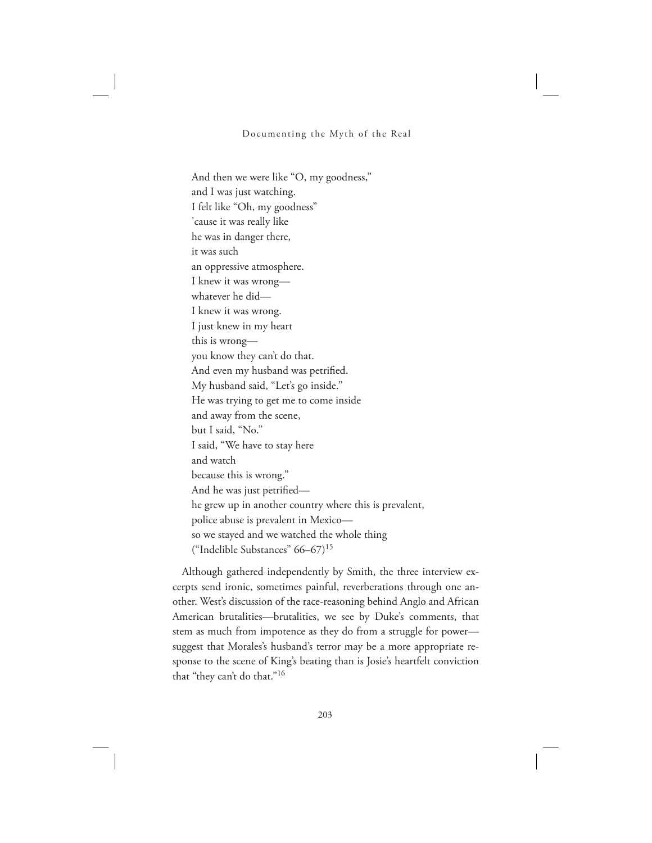And then we were like "O, my goodness," and I was just watching. I felt like "Oh, my goodness" 'cause it was really like he was in danger there, it was such an oppressive atmosphere. I knew it was wrong whatever he did— I knew it was wrong. I just knew in my heart this is wrong you know they can't do that. And even my husband was petrified. My husband said, "Let's go inside." He was trying to get me to come inside and away from the scene, but I said, "No." I said, "We have to stay here and watch because this is wrong." And he was just petrified he grew up in another country where this is prevalent, police abuse is prevalent in Mexico so we stayed and we watched the whole thing ("Indelible Substances" 66–67)<sup>15</sup>

Although gathered independently by Smith, the three interview excerpts send ironic, sometimes painful, reverberations through one another. West's discussion of the race-reasoning behind Anglo and African American brutalities—brutalities, we see by Duke's comments, that stem as much from impotence as they do from a struggle for power suggest that Morales's husband's terror may be a more appropriate response to the scene of King's beating than is Josie's heartfelt conviction that "they can't do that."<sup>16</sup>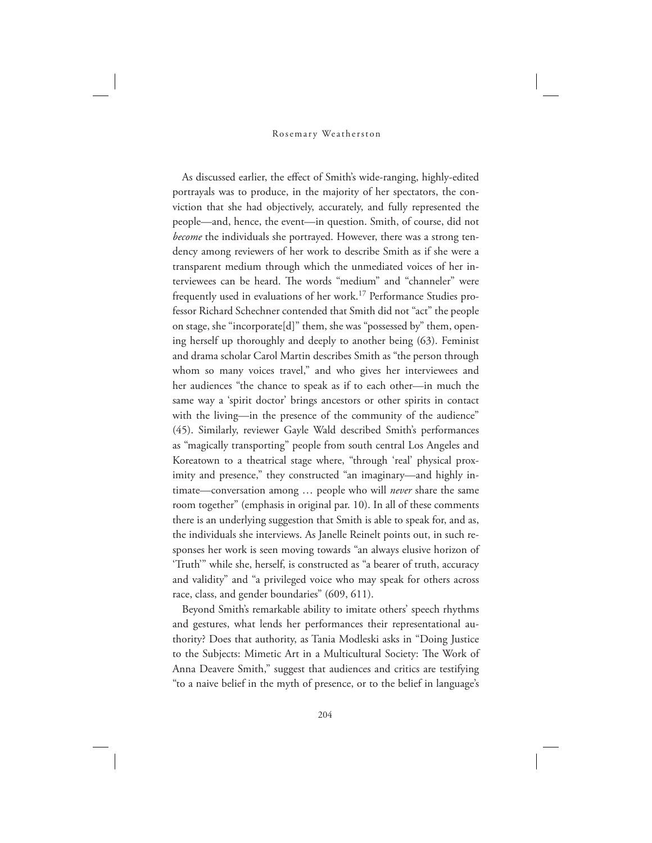As discussed earlier, the effect of Smith's wide-ranging, highly-edited portrayals was to produce, in the majority of her spectators, the conviction that she had objectively, accurately, and fully represented the people—and, hence, the event—in question. Smith, of course, did not *become* the individuals she portrayed. However, there was a strong tendency among reviewers of her work to describe Smith as if she were a transparent medium through which the unmediated voices of her interviewees can be heard. The words "medium" and "channeler" were frequently used in evaluations of her work.<sup>17</sup> Performance Studies professor Richard Schechner contended that Smith did not "act" the people on stage, she "incorporate[d]" them, she was "possessed by" them, opening herself up thoroughly and deeply to another being (63). Feminist and drama scholar Carol Martin describes Smith as "the person through whom so many voices travel," and who gives her interviewees and her audiences "the chance to speak as if to each other—in much the same way a 'spirit doctor' brings ancestors or other spirits in contact with the living—in the presence of the community of the audience" (45). Similarly, reviewer Gayle Wald described Smith's performances as "magically transporting" people from south central Los Angeles and Koreatown to a theatrical stage where, "through 'real' physical proximity and presence," they constructed "an imaginary—and highly intimate—conversation among … people who will *never* share the same room together" (emphasis in original par. 10). In all of these comments there is an underlying suggestion that Smith is able to speak for, and as, the individuals she interviews. As Janelle Reinelt points out, in such responses her work is seen moving towards "an always elusive horizon of 'Truth'" while she, herself, is constructed as "a bearer of truth, accuracy and validity" and "a privileged voice who may speak for others across race, class, and gender boundaries" (609, 611).

Beyond Smith's remarkable ability to imitate others' speech rhythms and gestures, what lends her performances their representational authority? Does that authority, as Tania Modleski asks in "Doing Justice to the Subjects: Mimetic Art in a Multicultural Society: The Work of Anna Deavere Smith," suggest that audiences and critics are testifying "to a naive belief in the myth of presence, or to the belief in language's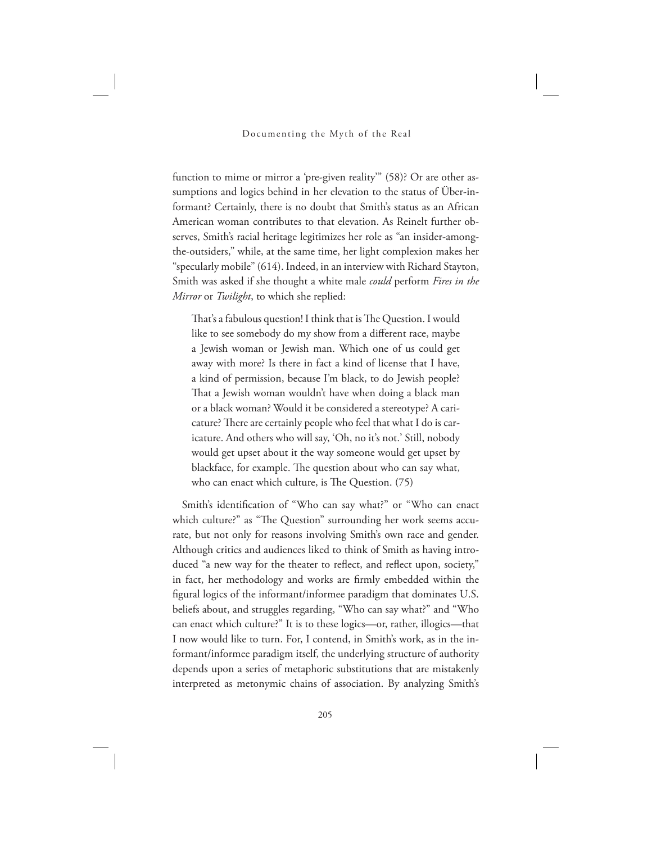function to mime or mirror a 'pre-given reality'" (58)? Or are other assumptions and logics behind in her elevation to the status of Über-informant? Certainly, there is no doubt that Smith's status as an African American woman contributes to that elevation. As Reinelt further observes, Smith's racial heritage legitimizes her role as "an insider-amongthe-outsiders," while, at the same time, her light complexion makes her "specularly mobile" (614). Indeed, in an interview with Richard Stayton, Smith was asked if she thought a white male *could* perform *Fires in the Mirror* or *Twilight*, to which she replied:

That's a fabulous question! I think that is The Question. I would like to see somebody do my show from a different race, maybe a Jewish woman or Jewish man. Which one of us could get away with more? Is there in fact a kind of license that I have, a kind of permission, because I'm black, to do Jewish people? That a Jewish woman wouldn't have when doing a black man or a black woman? Would it be considered a stereotype? A caricature? There are certainly people who feel that what I do is caricature. And others who will say, 'Oh, no it's not.' Still, nobody would get upset about it the way someone would get upset by blackface, for example. The question about who can say what, who can enact which culture, is The Question.  $(75)$ 

Smith's identification of "Who can say what?" or "Who can enact which culture?" as "The Question" surrounding her work seems accurate, but not only for reasons involving Smith's own race and gender. Although critics and audiences liked to think of Smith as having introduced "a new way for the theater to reflect, and reflect upon, society," in fact, her methodology and works are firmly embedded within the figural logics of the informant/informee paradigm that dominates U.S. beliefs about, and struggles regarding, "Who can say what?" and "Who can enact which culture?" It is to these logics—or, rather, illogics—that I now would like to turn. For, I contend, in Smith's work, as in the informant/informee paradigm itself, the underlying structure of authority depends upon a series of metaphoric substitutions that are mistakenly interpreted as metonymic chains of association. By analyzing Smith's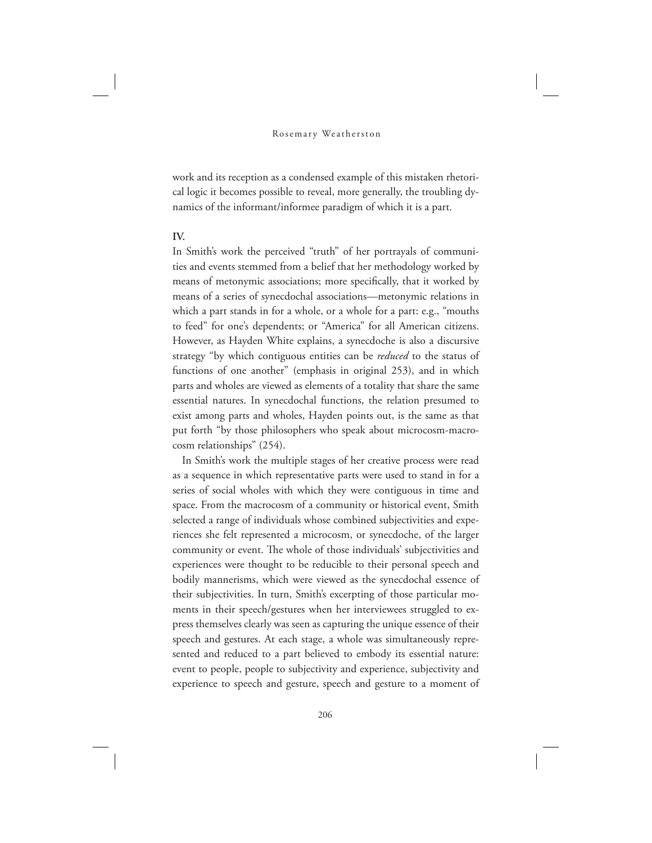work and its reception as a condensed example of this mistaken rhetorical logic it becomes possible to reveal, more generally, the troubling dynamics of the informant/informee paradigm of which it is a part.

# **IV.**

In Smith's work the perceived "truth" of her portrayals of communities and events stemmed from a belief that her methodology worked by means of metonymic associations; more specifically, that it worked by means of a series of synecdochal associations—metonymic relations in which a part stands in for a whole, or a whole for a part: e.g., "mouths to feed" for one's dependents; or "America" for all American citizens. However, as Hayden White explains, a synecdoche is also a discursive strategy "by which contiguous entities can be *reduced* to the status of functions of one another" (emphasis in original 253), and in which parts and wholes are viewed as elements of a totality that share the same essential natures. In synecdochal functions, the relation presumed to exist among parts and wholes, Hayden points out, is the same as that put forth "by those philosophers who speak about microcosm-macrocosm relationships" (254).

In Smith's work the multiple stages of her creative process were read as a sequence in which representative parts were used to stand in for a series of social wholes with which they were contiguous in time and space. From the macrocosm of a community or historical event, Smith selected a range of individuals whose combined subjectivities and experiences she felt represented a microcosm, or synecdoche, of the larger community or event. The whole of those individuals' subjectivities and experiences were thought to be reducible to their personal speech and bodily mannerisms, which were viewed as the synecdochal essence of their subjectivities. In turn, Smith's excerpting of those particular moments in their speech/gestures when her interviewees struggled to express themselves clearly was seen as capturing the unique essence of their speech and gestures. At each stage, a whole was simultaneously represented and reduced to a part believed to embody its essential nature: event to people, people to subjectivity and experience, subjectivity and experience to speech and gesture, speech and gesture to a moment of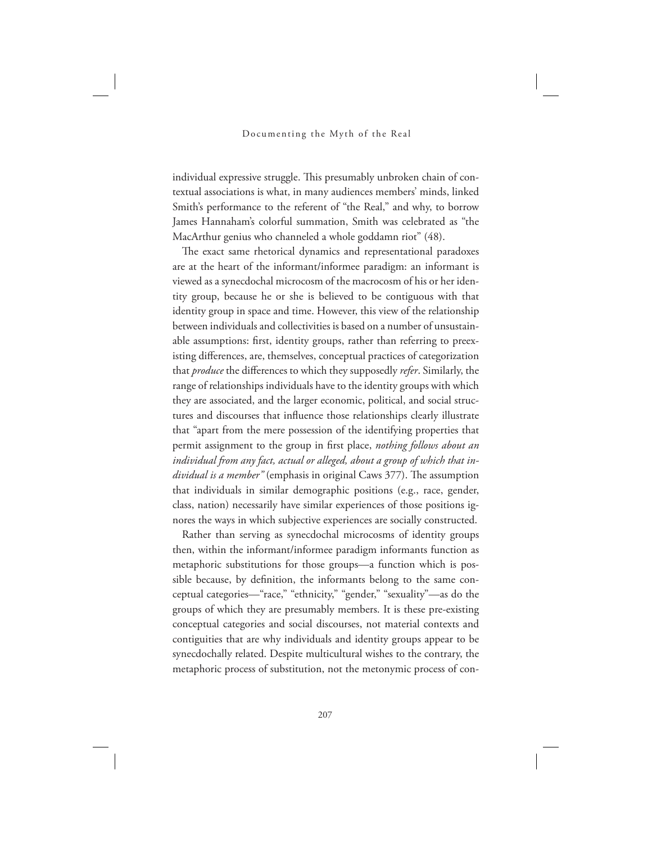individual expressive struggle. This presumably unbroken chain of contextual associations is what, in many audiences members' minds, linked Smith's performance to the referent of "the Real," and why, to borrow James Hannaham's colorful summation, Smith was celebrated as "the MacArthur genius who channeled a whole goddamn riot" (48).

The exact same rhetorical dynamics and representational paradoxes are at the heart of the informant/informee paradigm: an informant is viewed as a synecdochal microcosm of the macrocosm of his or her identity group, because he or she is believed to be contiguous with that identity group in space and time. However, this view of the relationship between individuals and collectivities is based on a number of unsustainable assumptions: first, identity groups, rather than referring to preexisting differences, are, themselves, conceptual practices of categorization that *produce* the differences to which they supposedly *refer*. Similarly, the range of relationships individuals have to the identity groups with which they are associated, and the larger economic, political, and social structures and discourses that influence those relationships clearly illustrate that "apart from the mere possession of the identifying properties that permit assignment to the group in first place, *nothing follows about an individual from any fact, actual or alleged, about a group of which that individual is a member*" (emphasis in original Caws 377). The assumption that individuals in similar demographic positions (e.g., race, gender, class, nation) necessarily have similar experiences of those positions ignores the ways in which subjective experiences are socially constructed.

Rather than serving as synecdochal microcosms of identity groups then, within the informant/informee paradigm informants function as metaphoric substitutions for those groups—a function which is possible because, by definition, the informants belong to the same conceptual categories—"race," "ethnicity," "gender," "sexuality"—as do the groups of which they are presumably members. It is these pre-existing conceptual categories and social discourses, not material contexts and contiguities that are why individuals and identity groups appear to be synecdochally related. Despite multicultural wishes to the contrary, the metaphoric process of substitution, not the metonymic process of con-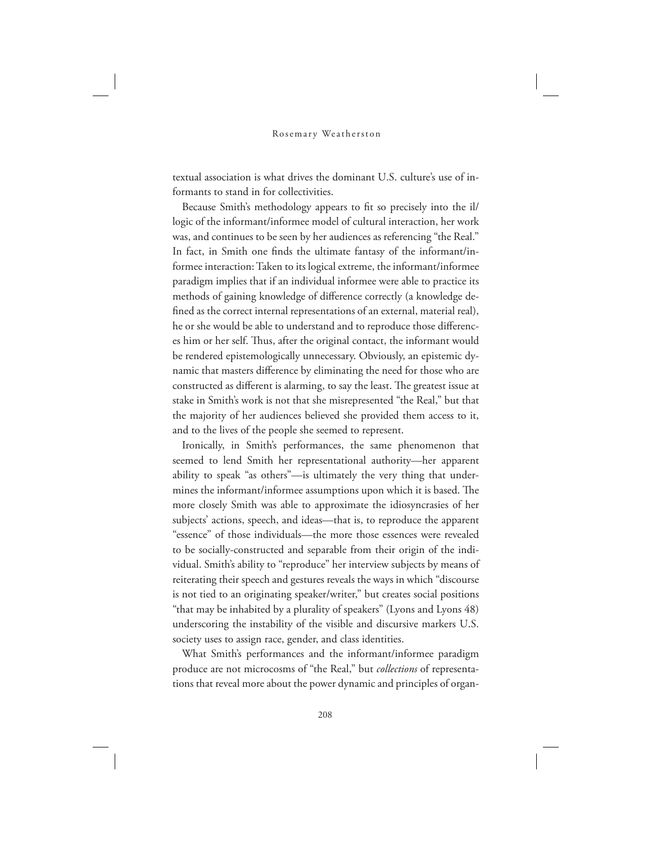textual association is what drives the dominant U.S. culture's use of informants to stand in for collectivities.

Because Smith's methodology appears to fit so precisely into the il/ logic of the informant/informee model of cultural interaction, her work was, and continues to be seen by her audiences as referencing "the Real." In fact, in Smith one finds the ultimate fantasy of the informant/informee interaction: Taken to its logical extreme, the informant/informee paradigm implies that if an individual informee were able to practice its methods of gaining knowledge of difference correctly (a knowledge defined as the correct internal representations of an external, material real), he or she would be able to understand and to reproduce those differences him or her self. Thus, after the original contact, the informant would be rendered epistemologically unnecessary. Obviously, an epistemic dynamic that masters difference by eliminating the need for those who are constructed as different is alarming, to say the least. The greatest issue at stake in Smith's work is not that she misrepresented "the Real," but that the majority of her audiences believed she provided them access to it, and to the lives of the people she seemed to represent.

Ironically, in Smith's performances, the same phenomenon that seemed to lend Smith her representational authority—her apparent ability to speak "as others"—is ultimately the very thing that undermines the informant/informee assumptions upon which it is based. The more closely Smith was able to approximate the idiosyncrasies of her subjects' actions, speech, and ideas—that is, to reproduce the apparent "essence" of those individuals—the more those essences were revealed to be socially-constructed and separable from their origin of the individual. Smith's ability to "reproduce" her interview subjects by means of reiterating their speech and gestures reveals the ways in which "discourse is not tied to an originating speaker/writer," but creates social positions "that may be inhabited by a plurality of speakers" (Lyons and Lyons 48) underscoring the instability of the visible and discursive markers U.S. society uses to assign race, gender, and class identities.

What Smith's performances and the informant/informee paradigm produce are not microcosms of "the Real," but *collections* of representations that reveal more about the power dynamic and principles of organ-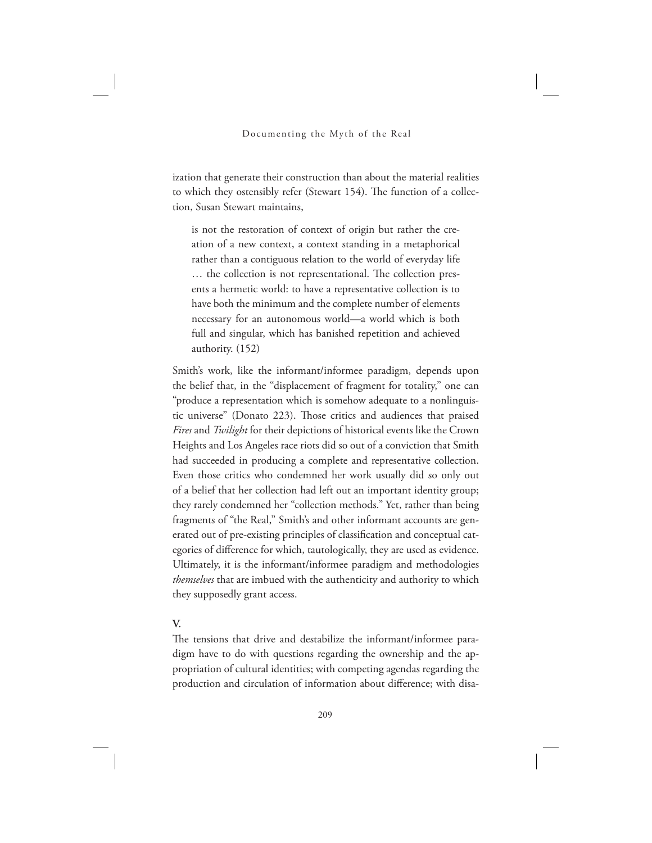ization that generate their construction than about the material realities to which they ostensibly refer (Stewart 154). The function of a collection, Susan Stewart maintains,

is not the restoration of context of origin but rather the creation of a new context, a context standing in a metaphorical rather than a contiguous relation to the world of everyday life ... the collection is not representational. The collection presents a hermetic world: to have a representative collection is to have both the minimum and the complete number of elements necessary for an autonomous world—a world which is both full and singular, which has banished repetition and achieved authority. (152)

Smith's work, like the informant/informee paradigm, depends upon the belief that, in the "displacement of fragment for totality," one can "produce a representation which is somehow adequate to a nonlinguistic universe" (Donato 223). Those critics and audiences that praised *Fires* and *Twilight* for their depictions of historical events like the Crown Heights and Los Angeles race riots did so out of a conviction that Smith had succeeded in producing a complete and representative collection. Even those critics who condemned her work usually did so only out of a belief that her collection had left out an important identity group; they rarely condemned her "collection methods." Yet, rather than being fragments of "the Real," Smith's and other informant accounts are generated out of pre-existing principles of classification and conceptual categories of difference for which, tautologically, they are used as evidence. Ultimately, it is the informant/informee paradigm and methodologies *themselves* that are imbued with the authenticity and authority to which they supposedly grant access.

# **V.**

The tensions that drive and destabilize the informant/informee paradigm have to do with questions regarding the ownership and the appropriation of cultural identities; with competing agendas regarding the production and circulation of information about difference; with disa-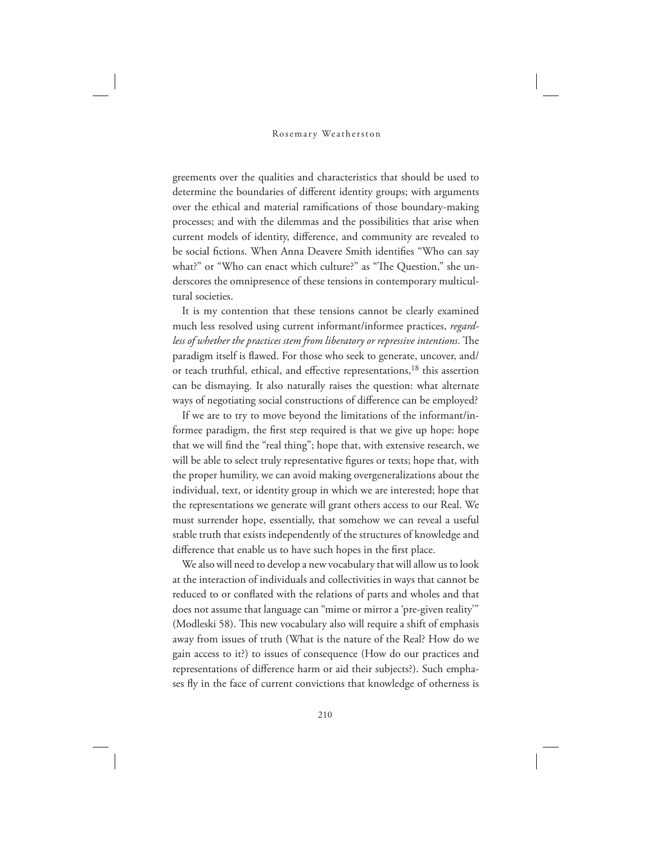greements over the qualities and characteristics that should be used to determine the boundaries of different identity groups; with arguments over the ethical and material ramifications of those boundary-making processes; and with the dilemmas and the possibilities that arise when current models of identity, difference, and community are revealed to be social fictions. When Anna Deavere Smith identifies "Who can say what?" or "Who can enact which culture?" as "The Question," she underscores the omnipresence of these tensions in contemporary multicultural societies.

It is my contention that these tensions cannot be clearly examined much less resolved using current informant/informee practices, *regardless of whether the practices stem from liberatory or repressive intentions*. The paradigm itself is flawed. For those who seek to generate, uncover, and/ or teach truthful, ethical, and effective representations,<sup>18</sup> this assertion can be dismaying. It also naturally raises the question: what alternate ways of negotiating social constructions of difference can be employed?

If we are to try to move beyond the limitations of the informant/informee paradigm, the first step required is that we give up hope: hope that we will find the "real thing"; hope that, with extensive research, we will be able to select truly representative figures or texts; hope that, with the proper humility, we can avoid making overgeneralizations about the individual, text, or identity group in which we are interested; hope that the representations we generate will grant others access to our Real. We must surrender hope, essentially, that somehow we can reveal a useful stable truth that exists independently of the structures of knowledge and difference that enable us to have such hopes in the first place.

We also will need to develop a new vocabulary that will allow us to look at the interaction of individuals and collectivities in ways that cannot be reduced to or conflated with the relations of parts and wholes and that does not assume that language can "mime or mirror a 'pre-given reality'" (Modleski 58). This new vocabulary also will require a shift of emphasis away from issues of truth (What is the nature of the Real? How do we gain access to it?) to issues of consequence (How do our practices and representations of difference harm or aid their subjects?). Such emphases fly in the face of current convictions that knowledge of otherness is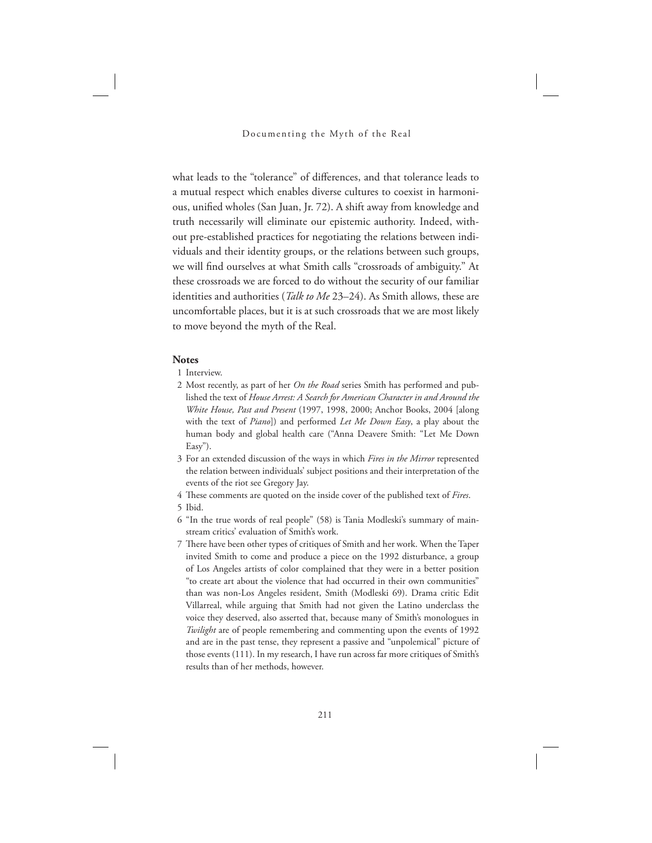what leads to the "tolerance" of differences, and that tolerance leads to a mutual respect which enables diverse cultures to coexist in harmonious, unified wholes (San Juan, Jr. 72). A shift away from knowledge and truth necessarily will eliminate our epistemic authority. Indeed, without pre-established practices for negotiating the relations between individuals and their identity groups, or the relations between such groups, we will find ourselves at what Smith calls "crossroads of ambiguity." At these crossroads we are forced to do without the security of our familiar identities and authorities (*Talk to Me* 23–24). As Smith allows, these are uncomfortable places, but it is at such crossroads that we are most likely to move beyond the myth of the Real.

#### **Notes**

- 1 Interview.
- 2 Most recently, as part of her *On the Road* series Smith has performed and published the text of *House Arrest: A Search for American Character in and Around the White House, Past and Present* (1997, 1998, 2000; Anchor Books, 2004 [along with the text of *Piano*]) and performed *Let Me Down Easy*, a play about the human body and global health care ("Anna Deavere Smith: "Let Me Down Easy").
- 3 For an extended discussion of the ways in which *Fires in the Mirror* represented the relation between individuals' subject positions and their interpretation of the events of the riot see Gregory Jay.
- 4 These comments are quoted on the inside cover of the published text of *Fires*.
- 5 Ibid.
- 6 "In the true words of real people" (58) is Tania Modleski's summary of mainstream critics' evaluation of Smith's work.
- 7 There have been other types of critiques of Smith and her work. When the Taper invited Smith to come and produce a piece on the 1992 disturbance, a group of Los Angeles artists of color complained that they were in a better position "to create art about the violence that had occurred in their own communities" than was non-Los Angeles resident, Smith (Modleski 69). Drama critic Edit Villarreal, while arguing that Smith had not given the Latino underclass the voice they deserved, also asserted that, because many of Smith's monologues in *Twilight* are of people remembering and commenting upon the events of 1992 and are in the past tense, they represent a passive and "unpolemical" picture of those events (111). In my research, I have run across far more critiques of Smith's results than of her methods, however.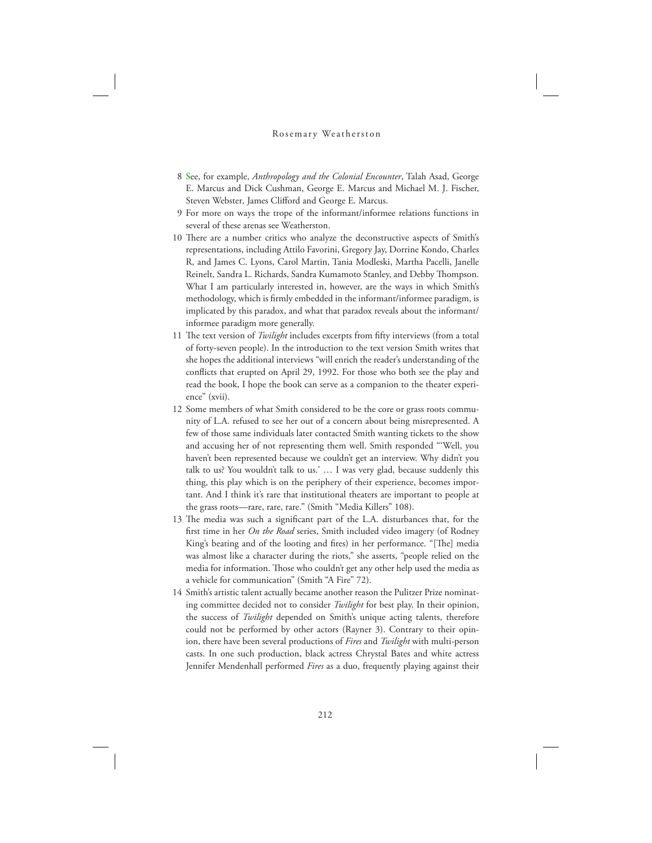- 8 See, for example, *Anthropology and the Colonial Encounter*, Talah Asad, George E. Marcus and Dick Cushman, George E. Marcus and Michael M. J. Fischer, Steven Webster*,* James Clifford and George E. Marcus.
- 9 For more on ways the trope of the informant/informee relations functions in several of these arenas see Weatherston.
- 10 There are a number critics who analyze the deconstructive aspects of Smith's representations, including Attilo Favorini, Gregory Jay, Dorrine Kondo, Charles R, and James C. Lyons, Carol Martin, Tania Modleski, Martha Pacelli, Janelle Reinelt, Sandra L. Richards, Sandra Kumamoto Stanley, and Debby Thompson. What I am particularly interested in, however, are the ways in which Smith's methodology, which is firmly embedded in the informant/informee paradigm, is implicated by this paradox, and what that paradox reveals about the informant/ informee paradigm more generally.
- 11 The text version of *Twilight* includes excerpts from fifty interviews (from a total of forty-seven people). In the introduction to the text version Smith writes that she hopes the additional interviews "will enrich the reader's understanding of the conflicts that erupted on April 29, 1992. For those who both see the play and read the book, I hope the book can serve as a companion to the theater experience" (xvii).
- 12 Some members of what Smith considered to be the core or grass roots community of L.A. refused to see her out of a concern about being misrepresented. A few of those same individuals later contacted Smith wanting tickets to the show and accusing her of not representing them well. Smith responded "'Well, you haven't been represented because we couldn't get an interview. Why didn't you talk to us? You wouldn't talk to us.' … I was very glad, because suddenly this thing, this play which is on the periphery of their experience, becomes important. And I think it's rare that institutional theaters are important to people at the grass roots—rare, rare, rare." (Smith "Media Killers" 108).
- 13 The media was such a significant part of the L.A. disturbances that, for the first time in her *On the Road* series, Smith included video imagery (of Rodney King's beating and of the looting and fires) in her performance. "[The] media was almost like a character during the riots," she asserts, "people relied on the media for information. Those who couldn't get any other help used the media as a vehicle for communication" (Smith "A Fire" 72).
- 14 Smith's artistic talent actually became another reason the Pulitzer Prize nominating committee decided not to consider *Twilight* for best play. In their opinion, the success of *Twilight* depended on Smith's unique acting talents, therefore could not be performed by other actors (Rayner 3). Contrary to their opinion, there have been several productions of *Fires* and *Twilight* with multi-person casts. In one such production, black actress Chrystal Bates and white actress Jennifer Mendenhall performed *Fires* as a duo, frequently playing against their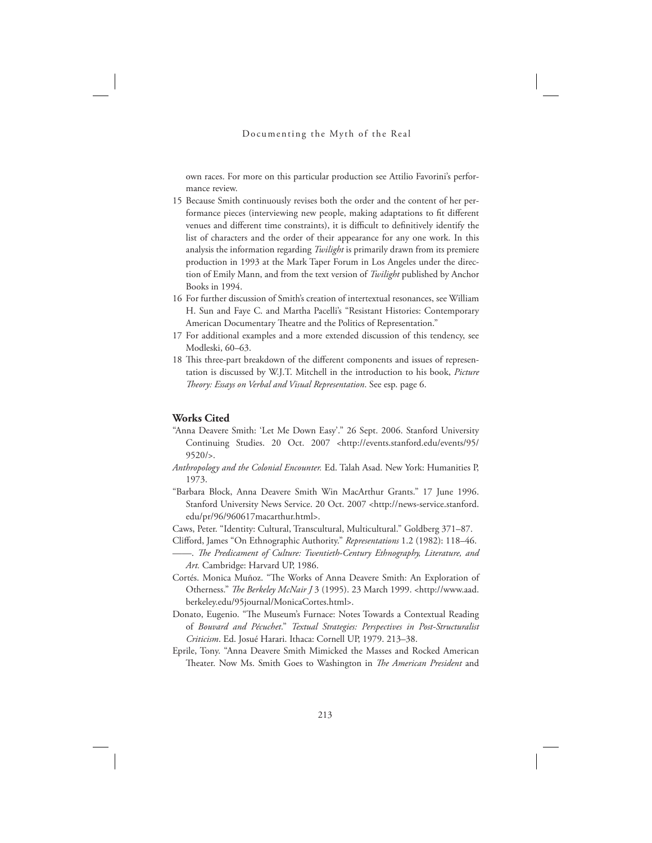own races. For more on this particular production see Attilio Favorini's performance review.

- 15 Because Smith continuously revises both the order and the content of her performance pieces (interviewing new people, making adaptations to fit different venues and different time constraints), it is difficult to definitively identify the list of characters and the order of their appearance for any one work. In this analysis the information regarding *Twilight* is primarily drawn from its premiere production in 1993 at the Mark Taper Forum in Los Angeles under the direction of Emily Mann, and from the text version of *Twilight* published by Anchor Books in 1994.
- 16 For further discussion of Smith's creation of intertextual resonances, see William H. Sun and Faye C. and Martha Pacelli's "Resistant Histories: Contemporary American Documentary Theatre and the Politics of Representation."
- 17 For additional examples and a more extended discussion of this tendency, see Modleski, 60–63.
- 18 This three-part breakdown of the different components and issues of representation is discussed by W.J.T. Mitchell in the introduction to his book, *Picture eory: Essays on Verbal and Visual Representation*. See esp. page 6.

#### **Works Cited**

- "Anna Deavere Smith: 'Let Me Down Easy'." 26 Sept. 2006. Stanford University Continuing Studies. 20 Oct. 2007 <http://events.stanford.edu/events/95/ 9520/>.
- *Anthropology and the Colonial Encounter.* Ed. Talah Asad. New York: Humanities P, 1973.
- "Barbara Block, Anna Deavere Smith Win MacArthur Grants." 17 June 1996. Stanford University News Service. 20 Oct. 2007 <http://news-service.stanford. edu/pr/96/960617macarthur.html>.

Caws, Peter. "Identity: Cultural, Transcultural, Multicultural." Goldberg 371–87.

- Clifford, James "On Ethnographic Authority." *Representations* 1.2 (1982): 118–46. ——. *e Predicament of Culture: Twentieth-Century Ethnography, Literature, and*
- *Art.* Cambridge: Harvard UP, 1986.
- Cortés. Monica Muñoz. "The Works of Anna Deavere Smith: An Exploration of Otherness." The Berkeley McNair J 3 (1995). 23 March 1999. <http://www.aad. berkeley.edu/95journal/MonicaCortes.html>.
- Donato, Eugenio. "The Museum's Furnace: Notes Towards a Contextual Reading of *Bouvard and Pécuchet*." *Textual Strategies: Perspectives in Post-Structuralist Criticism*. Ed. Josué Harari. Ithaca: Cornell UP, 1979. 213–38.
- Eprile, Tony. "Anna Deavere Smith Mimicked the Masses and Rocked American Theater. Now Ms. Smith Goes to Washington in *The American President* and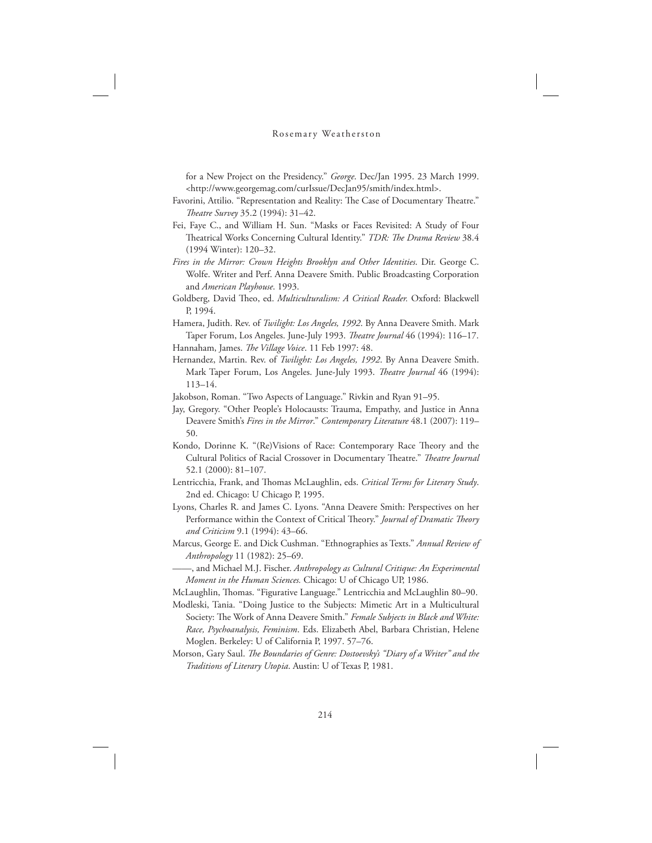for a New Project on the Presidency." *George*. Dec/Jan 1995. 23 March 1999. <http://www.georgemag.com/curIssue/DecJan95/smith/index.html>.

- Favorini, Attilio. "Representation and Reality: The Case of Documentary Theatre." *eatre Survey* 35.2 (1994): 31–42.
- Fei, Faye C., and William H. Sun. "Masks or Faces Revisited: A Study of Four Theatrical Works Concerning Cultural Identity." *TDR: The Drama Review* 38.4 (1994 Winter): 120–32.
- *Fires in the Mirror: Crown Heights Brooklyn and Other Identities*. Dir. George C. Wolfe. Writer and Perf. Anna Deavere Smith. Public Broadcasting Corporation and *American Playhouse*. 1993.
- Goldberg, David Theo, ed. Multiculturalism: A Critical Reader. Oxford: Blackwell P, 1994.
- Hamera, Judith. Rev. of *Twilight: Los Angeles, 1992*. By Anna Deavere Smith. Mark Taper Forum, Los Angeles. June-July 1993. *Theatre Journal* 46 (1994): 116-17. Hannaham, James. *The Village Voice*. 11 Feb 1997: 48.
- Hernandez, Martin. Rev. of *Twilight: Los Angeles, 1992*. By Anna Deavere Smith. Mark Taper Forum, Los Angeles. June-July 1993. *Theatre Journal* 46 (1994): 113–14.

Jakobson, Roman. "Two Aspects of Language." Rivkin and Ryan 91–95.

- Jay, Gregory. "Other People's Holocausts: Trauma, Empathy, and Justice in Anna Deavere Smith's *Fires in the Mirror*." *Contemporary Literature* 48.1 (2007): 119– 50.
- Kondo, Dorinne K. "(Re)Visions of Race: Contemporary Race Theory and the Cultural Politics of Racial Crossover in Documentary Theatre." *Theatre Journal* 52.1 (2000): 81–107.
- Lentricchia, Frank, and Thomas McLaughlin, eds. Critical Terms for Literary Study. 2nd ed. Chicago: U Chicago P, 1995.
- Lyons, Charles R. and James C. Lyons. "Anna Deavere Smith: Perspectives on her Performance within the Context of Critical Theory." *Journal of Dramatic Theory and Criticism* 9.1 (1994): 43–66.
- Marcus, George E. and Dick Cushman. "Ethnographies as Texts." *Annual Review of Anthropology* 11 (1982): 25–69.
- ——, and Michael M.J. Fischer. *Anthropology as Cultural Critique: An Experimental Moment in the Human Sciences.* Chicago: U of Chicago UP, 1986.
- McLaughlin, Thomas. "Figurative Language." Lentricchia and McLaughlin 80–90. Modleski, Tania. "Doing Justice to the Subjects: Mimetic Art in a Multicultural
- Society: The Work of Anna Deavere Smith." *Female Subjects in Black and White: Race, Psychoanalysis, Feminism*. Eds. Elizabeth Abel, Barbara Christian, Helene Moglen. Berkeley: U of California P, 1997. 57–76.
- Morson, Gary Saul. *The Boundaries of Genre: Dostoevsky's "Diary of a Writer" and the Traditions of Literary Utopia*. Austin: U of Texas P, 1981.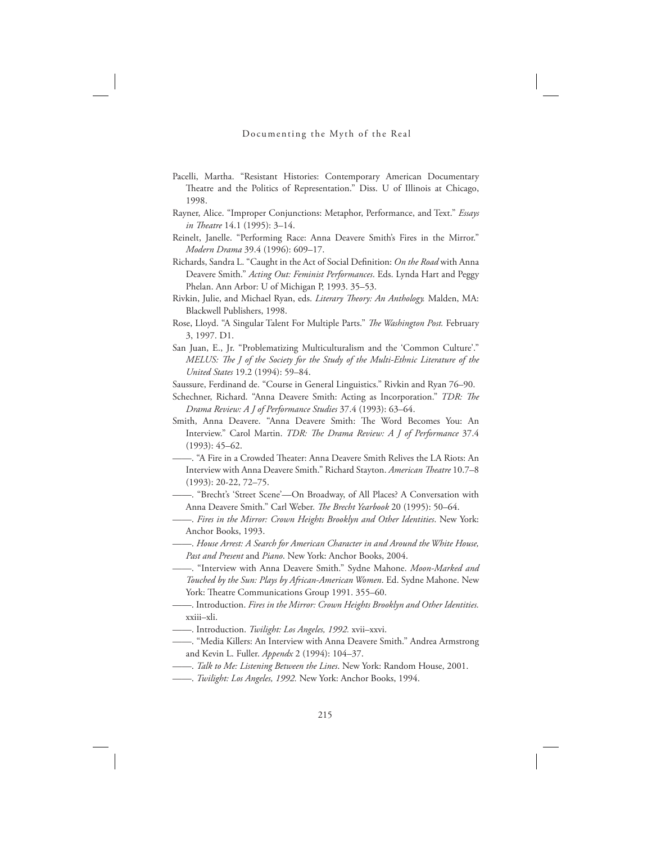- Pacelli, Martha. "Resistant Histories: Contemporary American Documentary Theatre and the Politics of Representation." Diss. U of Illinois at Chicago, 1998.
- Rayner, Alice. "Improper Conjunctions: Metaphor, Performance, and Text." *Essays in Theatre* 14.1 (1995): 3-14.
- Reinelt, Janelle. "Performing Race: Anna Deavere Smith's Fires in the Mirror." *Modern Drama* 39.4 (1996): 609–17.
- Richards, Sandra L. "Caught in the Act of Social Definition: *On the Road* with Anna Deavere Smith." *Acting Out: Feminist Performances*. Eds. Lynda Hart and Peggy Phelan. Ann Arbor: U of Michigan P, 1993. 35–53.
- Rivkin, Julie, and Michael Ryan, eds. *Literary Theory: An Anthology*. Malden, MA: Blackwell Publishers, 1998.
- Rose, Lloyd. "A Singular Talent For Multiple Parts." *The Washington Post*. February 3, 1997. D1.
- San Juan, E., Jr. "Problematizing Multiculturalism and the 'Common Culture'." *MELUS: The J of the Society for the Study of the Multi-Ethnic Literature of the United States* 19.2 (1994): 59–84.
- Saussure, Ferdinand de. "Course in General Linguistics." Rivkin and Ryan 76–90.
- Schechner, Richard. "Anna Deavere Smith: Acting as Incorporation." TDR: The *Drama Review: A J of Performance Studies* 37.4 (1993): 63–64.
- Smith, Anna Deavere. "Anna Deavere Smith: The Word Becomes You: An Interview." Carol Martin. *TDR: The Drama Review: A J of Performance* 37.4 (1993): 45–62.
- -. "A Fire in a Crowded Theater: Anna Deavere Smith Relives the LA Riots: An Interview with Anna Deavere Smith." Richard Stayton. *American Theatre* 10.7-8 (1993): 20-22, 72–75.
- ——. "Brecht's 'Street Scene'—On Broadway, of All Places? A Conversation with Anna Deavere Smith." Carl Weber. *The Brecht Yearbook* 20 (1995): 50-64.
- ——. *Fires in the Mirror: Crown Heights Brooklyn and Other Identities*. New York: Anchor Books, 1993.
- ——. *House Arrest: A Search for American Character in and Around the White House, Past and Present* and *Piano*. New York: Anchor Books, 2004.
- ——. "Interview with Anna Deavere Smith." Sydne Mahone. *Moon-Marked and Touched by the Sun: Plays by African-American Women*. Ed. Sydne Mahone. New York: Theatre Communications Group 1991. 355-60.
- ——. Introduction. *Fires in the Mirror: Crown Heights Brooklyn and Other Identities.*  xxiii–xli.
- ——. Introduction. *Twilight: Los Angeles, 1992.* xvii–xxvi.
- ——. "Media Killers: An Interview with Anna Deavere Smith." Andrea Armstrong and Kevin L. Fuller. *Appendx* 2 (1994): 104–37.
- ——. *Talk to Me: Listening Between the Lines*. New York: Random House, 2001.
- ——. *Twilight: Los Angeles, 1992.* New York: Anchor Books, 1994.